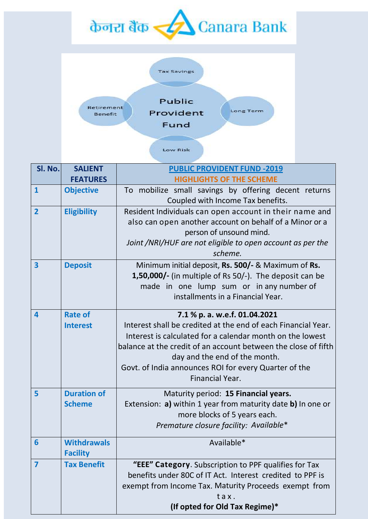



| Sl. No.                 | <b>SALIENT</b>     | <b>PUBLIC PROVIDENT FUND -2019</b>                             |
|-------------------------|--------------------|----------------------------------------------------------------|
|                         | <b>FEATURES</b>    | <b>HIGHLIGHTS OF THE SCHEME</b>                                |
| $\mathbf{1}$            | <b>Objective</b>   | To mobilize small savings by offering decent returns           |
|                         |                    | Coupled with Income Tax benefits.                              |
| $\overline{2}$          | <b>Eligibility</b> | Resident Individuals can open account in their name and        |
|                         |                    | also can open another account on behalf of a Minor or a        |
|                         |                    | person of unsound mind.                                        |
|                         |                    | Joint /NRI/HUF are not eligible to open account as per the     |
|                         |                    | scheme.                                                        |
| 3                       | <b>Deposit</b>     | Minimum initial deposit, Rs. 500/- & Maximum of Rs.            |
|                         |                    | 1,50,000/- (in multiple of Rs 50/-). The deposit can be        |
|                         |                    | made in one lump sum or in any number of                       |
|                         |                    | installments in a Financial Year.                              |
| 4                       | <b>Rate of</b>     | 7.1 % p. a. w.e.f. 01.04.2021                                  |
|                         | <b>Interest</b>    | Interest shall be credited at the end of each Financial Year.  |
|                         |                    | Interest is calculated for a calendar month on the lowest      |
|                         |                    | balance at the credit of an account between the close of fifth |
|                         |                    | day and the end of the month.                                  |
|                         |                    | Govt. of India announces ROI for every Quarter of the          |
|                         |                    | Financial Year.                                                |
| 5                       | <b>Duration of</b> | Maturity period: 15 Financial years.                           |
|                         | <b>Scheme</b>      | Extension: a) within 1 year from maturity date b) In one or    |
|                         |                    | more blocks of 5 years each.                                   |
|                         |                    | Premature closure facility: Available*                         |
| 6                       | <b>Withdrawals</b> | Available*                                                     |
|                         | <b>Facility</b>    |                                                                |
| $\overline{\mathbf{z}}$ | <b>Tax Benefit</b> | "EEE" Category. Subscription to PPF qualifies for Tax          |
|                         |                    | benefits under 80C of IT Act. Interest credited to PPF is      |
|                         |                    | exempt from Income Tax. Maturity Proceeds exempt from          |
|                         |                    | tax.                                                           |
|                         |                    | (If opted for Old Tax Regime)*                                 |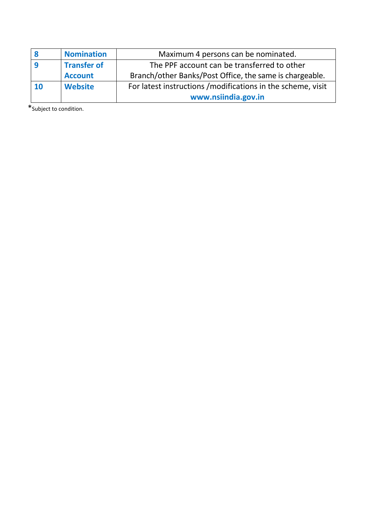|    | <b>Nomination</b>  | Maximum 4 persons can be nominated.                          |
|----|--------------------|--------------------------------------------------------------|
|    | <b>Transfer of</b> | The PPF account can be transferred to other                  |
|    | <b>Account</b>     | Branch/other Banks/Post Office, the same is chargeable.      |
| 10 | <b>Website</b>     | For latest instructions / modifications in the scheme, visit |
|    |                    | www.nsiindia.gov.in                                          |

\*Subject to condition.